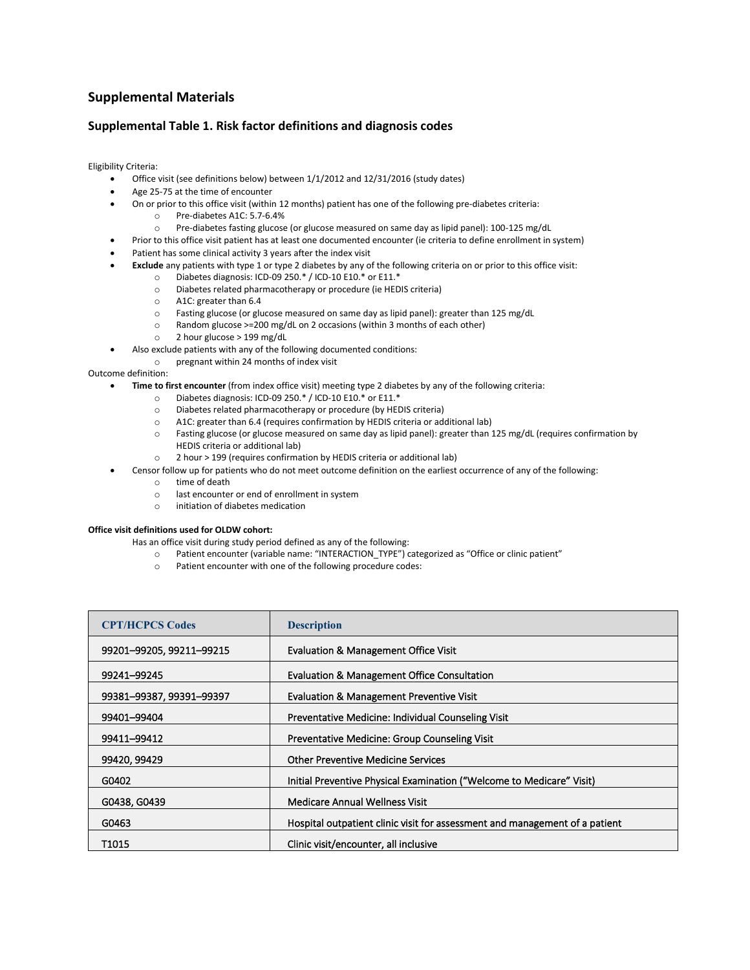## **Supplemental Materials**

## **Supplemental Table 1. Risk factor definitions and diagnosis codes**

Eligibility Criteria:

- Office visit (see definitions below) between 1/1/2012 and 12/31/2016 (study dates)
- Age 25-75 at the time of encounter
- On or prior to this office visit (within 12 months) patient has one of the following pre-diabetes criteria:
	- o Pre-diabetes A1C: 5.7-6.4%
	- o Pre-diabetes fasting glucose (or glucose measured on same day as lipid panel): 100-125 mg/dL
- Prior to this office visit patient has at least one documented encounter (ie criteria to define enrollment in system)
- Patient has some clinical activity 3 years after the index visit
- **Exclude** any patients with type 1 or type 2 diabetes by any of the following criteria on or prior to this office visit:
	- $\degree$  Diabetes diagnosis: ICD-09 250.\* / ICD-10 E10.\* or E11.\*<br>O Diabetes related pharmacotherany or procedure (ie HED
	- $\circ$  Diabetes related pharmacotherapy or procedure (ie HEDIS criteria)<br>  $\circ$  A1C: greater than 6.4
	- A1C: greater than 6.4
	- o Fasting glucose (or glucose measured on same day as lipid panel): greater than 125 mg/dL
	- o Random glucose >=200 mg/dL on 2 occasions (within 3 months of each other)<br>  $\circ$  2 hour glucose > 199 mg/dL
	- 2 hour glucose > 199 mg/dL
- Also exclude patients with any of the following documented conditions:
- o pregnant within 24 months of index visit

Outcome definition:

- **Time to first encounter** (from index office visit) meeting type 2 diabetes by any of the following criteria:
	- o Diabetes diagnosis: ICD-09 250.\* / ICD-10 E10.\* or E11.\*
	- o Diabetes related pharmacotherapy or procedure (by HEDIS criteria)
	- $\circ$  A1C: greater than 6.4 (requires confirmation by HEDIS criteria or additional lab)<br> $\circ$  Fasting glucose (or glucose measured on same dav as lipid panel): greater than 2
	- Fasting glucose (or glucose measured on same day as lipid panel): greater than 125 mg/dL (requires confirmation by HEDIS criteria or additional lab)
	- o 2 hour > 199 (requires confirmation by HEDIS criteria or additional lab)
- Censor follow up for patients who do not meet outcome definition on the earliest occurrence of any of the following:
	- o time of death
	- o last encounter or end of enrollment in system
	- o initiation of diabetes medication

## **Office visit definitions used for OLDW cohort:**

- Has an office visit during study period defined as any of the following:
	- o Patient encounter (variable name: "INTERACTION\_TYPE") categorized as "Office or clinic patient"
	- o Patient encounter with one of the following procedure codes:

| <b>CPT/HCPCS Codes</b>   | <b>Description</b>                                                          |
|--------------------------|-----------------------------------------------------------------------------|
| 99201-99205, 99211-99215 | <b>Evaluation &amp; Management Office Visit</b>                             |
| 99241-99245              | <b>Evaluation &amp; Management Office Consultation</b>                      |
| 99381-99387, 99391-99397 | <b>Evaluation &amp; Management Preventive Visit</b>                         |
| 99401-99404              | Preventative Medicine: Individual Counseling Visit                          |
| 99411-99412              | Preventative Medicine: Group Counseling Visit                               |
| 99420, 99429             | <b>Other Preventive Medicine Services</b>                                   |
| G0402                    | Initial Preventive Physical Examination ("Welcome to Medicare" Visit)       |
| G0438, G0439             | Medicare Annual Wellness Visit                                              |
| G0463                    | Hospital outpatient clinic visit for assessment and management of a patient |
| T1015                    | Clinic visit/encounter, all inclusive                                       |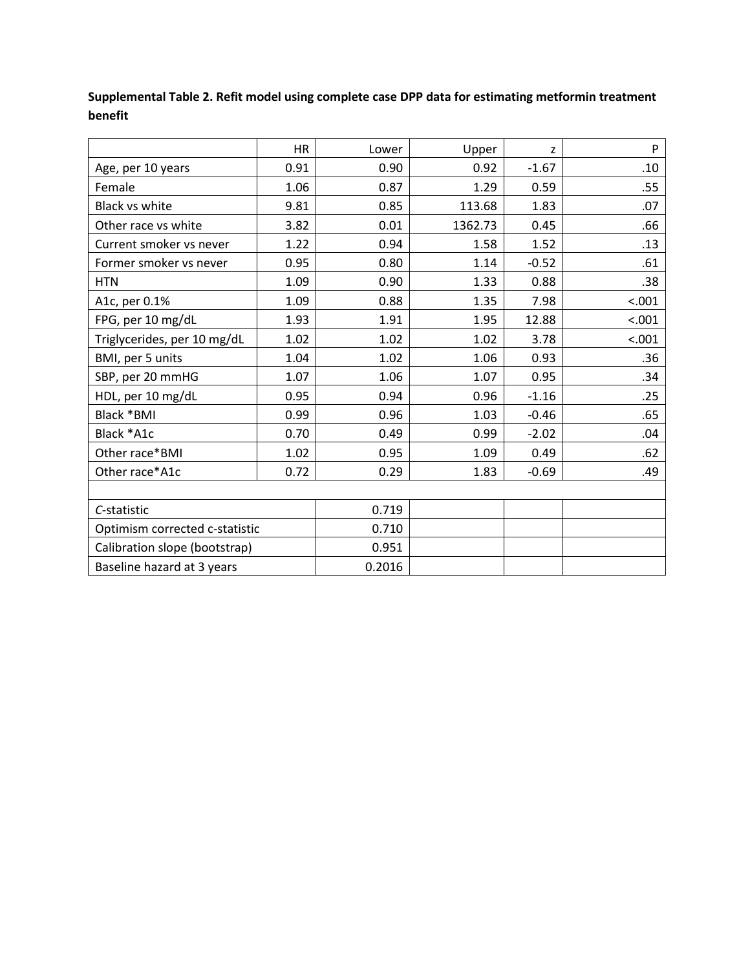**Supplemental Table 2. Refit model using complete case DPP data for estimating metformin treatment benefit**

|                                | <b>HR</b> | Lower  | Upper   | z       | P      |  |  |
|--------------------------------|-----------|--------|---------|---------|--------|--|--|
| Age, per 10 years              | 0.91      | 0.90   | 0.92    | $-1.67$ | .10    |  |  |
| Female                         | 1.06      | 0.87   | 1.29    | 0.59    | .55    |  |  |
| Black vs white                 | 9.81      | 0.85   | 113.68  | 1.83    | .07    |  |  |
| Other race vs white            | 3.82      | 0.01   | 1362.73 | 0.45    | .66    |  |  |
| Current smoker vs never        | 1.22      | 0.94   | 1.58    | 1.52    | .13    |  |  |
| Former smoker vs never         | 0.95      | 0.80   | 1.14    | $-0.52$ | .61    |  |  |
| <b>HTN</b>                     | 1.09      | 0.90   | 1.33    | 0.88    | .38    |  |  |
| A1c, per 0.1%                  | 1.09      | 0.88   | 1.35    | 7.98    | < .001 |  |  |
| FPG, per 10 mg/dL              | 1.93      | 1.91   | 1.95    | 12.88   | < .001 |  |  |
| Triglycerides, per 10 mg/dL    | 1.02      | 1.02   | 1.02    | 3.78    | < .001 |  |  |
| BMI, per 5 units               | 1.04      | 1.02   | 1.06    | 0.93    | .36    |  |  |
| SBP, per 20 mmHG               | 1.07      | 1.06   | 1.07    | 0.95    | .34    |  |  |
| HDL, per 10 mg/dL              | 0.95      | 0.94   | 0.96    | $-1.16$ | .25    |  |  |
| Black *BMI                     | 0.99      | 0.96   | 1.03    | $-0.46$ | .65    |  |  |
| Black *A1c                     | 0.70      | 0.49   | 0.99    | $-2.02$ | .04    |  |  |
| Other race*BMI                 | 1.02      | 0.95   | 1.09    | 0.49    | .62    |  |  |
| Other race*A1c                 | 0.72      | 0.29   | 1.83    | $-0.69$ | .49    |  |  |
|                                |           |        |         |         |        |  |  |
| C-statistic                    | 0.719     |        |         |         |        |  |  |
| Optimism corrected c-statistic |           | 0.710  |         |         |        |  |  |
| Calibration slope (bootstrap)  |           | 0.951  |         |         |        |  |  |
| Baseline hazard at 3 years     |           | 0.2016 |         |         |        |  |  |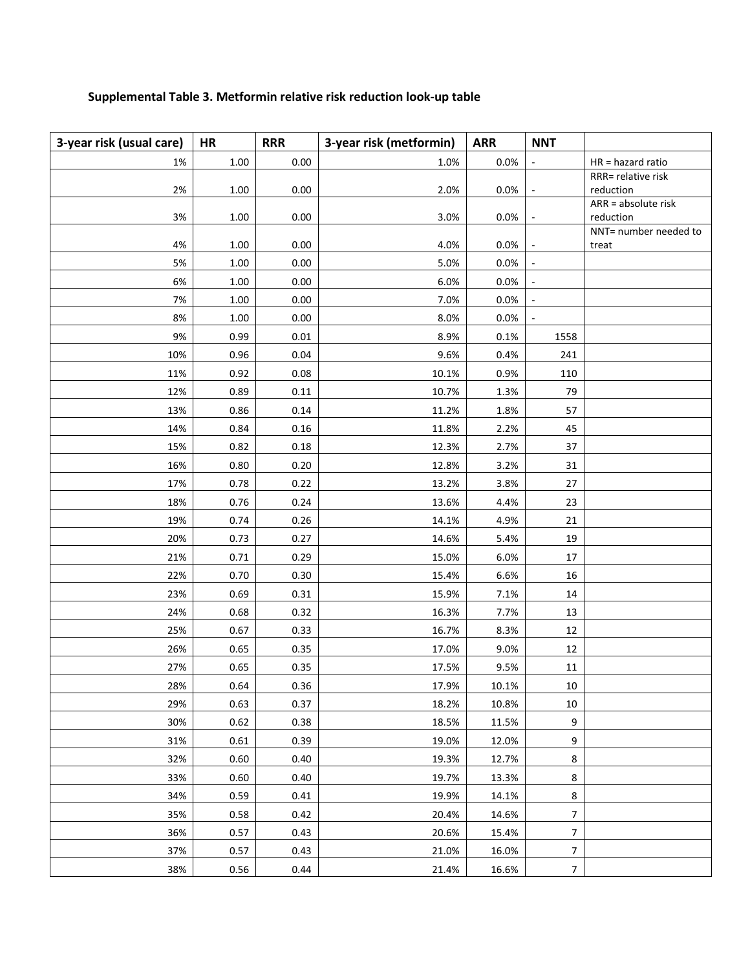## **Supplemental Table 3. Metformin relative risk reduction look-up table**

| 3-year risk (usual care) | <b>HR</b> | <b>RRR</b> | 3-year risk (metformin) | <b>ARR</b> | <b>NNT</b>               |                                  |
|--------------------------|-----------|------------|-------------------------|------------|--------------------------|----------------------------------|
| 1%                       | 1.00      | 0.00       | 1.0%                    | 0.0%       | $\Box$                   | HR = hazard ratio                |
|                          |           |            |                         |            |                          | RRR= relative risk               |
| 2%                       | 1.00      | 0.00       | 2.0%                    | 0.0%       | $\blacksquare$           | reduction<br>ARR = absolute risk |
| 3%                       | 1.00      | 0.00       | 3.0%                    | 0.0%       |                          | reduction                        |
|                          |           |            |                         |            |                          | NNT= number needed to            |
| 4%                       | 1.00      | 0.00       | 4.0%                    | 0.0%       |                          | treat                            |
| 5%                       | 1.00      | 0.00       | 5.0%                    | 0.0%       | $\overline{\phantom{a}}$ |                                  |
| 6%                       | 1.00      | 0.00       | 6.0%                    | 0.0%       | $\overline{\phantom{a}}$ |                                  |
| 7%                       | 1.00      | 0.00       | 7.0%                    | 0.0%       | $\overline{\phantom{a}}$ |                                  |
| $8\%$                    | 1.00      | 0.00       | 8.0%                    | 0.0%       |                          |                                  |
| 9%                       | 0.99      | 0.01       | 8.9%                    | 0.1%       | 1558                     |                                  |
| 10%                      | 0.96      | 0.04       | 9.6%                    | 0.4%       | 241                      |                                  |
| 11%                      | 0.92      | 0.08       | 10.1%                   | 0.9%       | 110                      |                                  |
| 12%                      | 0.89      | 0.11       | 10.7%                   | 1.3%       | 79                       |                                  |
| 13%                      | 0.86      | 0.14       | 11.2%                   | 1.8%       | 57                       |                                  |
| 14%                      | 0.84      | 0.16       | 11.8%                   | 2.2%       | 45                       |                                  |
| 15%                      | 0.82      | 0.18       | 12.3%                   | 2.7%       | 37                       |                                  |
| 16%                      | 0.80      | 0.20       | 12.8%                   | 3.2%       | 31                       |                                  |
| 17%                      | 0.78      | 0.22       | 13.2%                   | 3.8%       | 27                       |                                  |
| 18%                      | 0.76      | 0.24       | 13.6%                   | 4.4%       | 23                       |                                  |
| 19%                      | 0.74      | 0.26       | 14.1%                   | 4.9%       | 21                       |                                  |
| 20%                      | 0.73      | 0.27       | 14.6%                   | 5.4%       | 19                       |                                  |
| 21%                      | 0.71      | 0.29       | 15.0%                   | 6.0%       | 17                       |                                  |
| 22%                      | 0.70      | 0.30       | 15.4%                   | 6.6%       | 16                       |                                  |
| 23%                      | 0.69      | 0.31       | 15.9%                   | 7.1%       | 14                       |                                  |
| 24%                      | 0.68      | 0.32       | 16.3%                   | 7.7%       | 13                       |                                  |
| 25%                      | 0.67      | 0.33       | 16.7%                   | 8.3%       | 12                       |                                  |
| 26%                      | 0.65      | 0.35       | 17.0%                   | 9.0%       | 12                       |                                  |
| 27%                      | 0.65      | 0.35       | 17.5%                   | 9.5%       | 11                       |                                  |
| 28%                      | 0.64      | 0.36       | 17.9%                   | 10.1%      | 10                       |                                  |
| 29%                      | 0.63      | 0.37       | 18.2%                   | 10.8%      | 10                       |                                  |
| 30%                      | 0.62      | 0.38       | 18.5%                   | 11.5%      | 9                        |                                  |
| 31%                      | 0.61      | 0.39       | 19.0%                   | 12.0%      | $\boldsymbol{9}$         |                                  |
| 32%                      | 0.60      | 0.40       | 19.3%                   | 12.7%      | $\,8\,$                  |                                  |
| 33%                      | 0.60      | 0.40       | 19.7%                   | 13.3%      | 8                        |                                  |
| 34%                      | 0.59      | 0.41       | 19.9%                   | 14.1%      | $\,8\,$                  |                                  |
| 35%                      | 0.58      | 0.42       | 20.4%                   | 14.6%      | $\overline{7}$           |                                  |
| 36%                      | 0.57      | 0.43       | 20.6%                   | 15.4%      | $\overline{7}$           |                                  |
| 37%                      | 0.57      | 0.43       | 21.0%                   | 16.0%      | $\overline{7}$           |                                  |
| 38%                      | 0.56      | 0.44       | 21.4%                   | 16.6%      | $\overline{7}$           |                                  |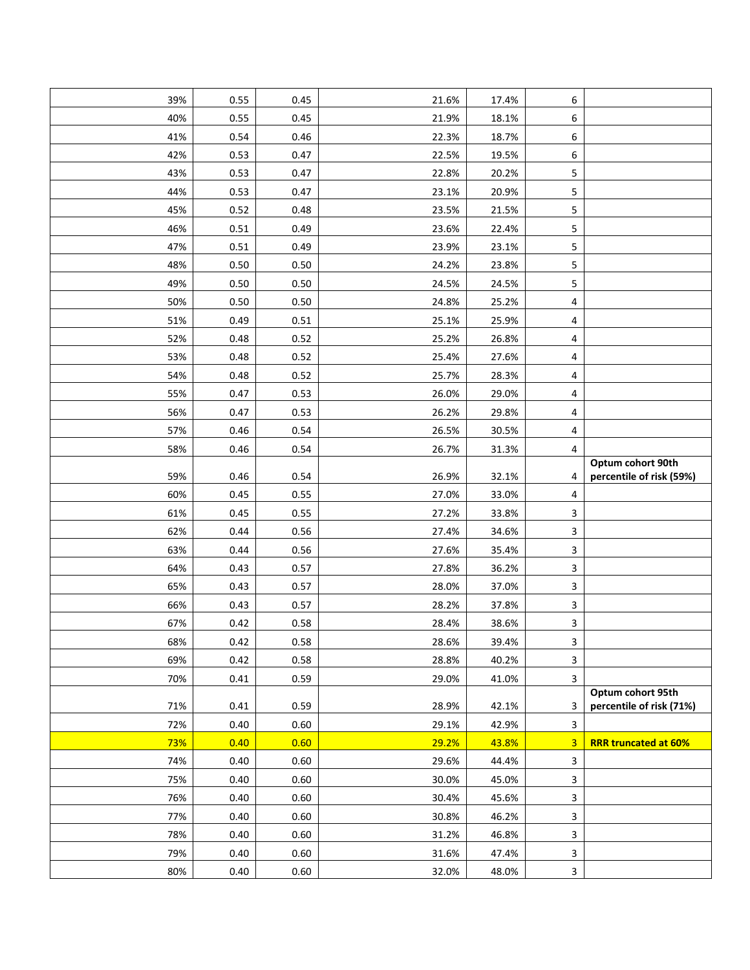| 39%        | 0.55         | 0.45         | 21.6%          | 17.4%          | 6              |                             |
|------------|--------------|--------------|----------------|----------------|----------------|-----------------------------|
| 40%        | 0.55         | 0.45         | 21.9%          | 18.1%          | 6              |                             |
| 41%        | 0.54         | 0.46         | 22.3%          | 18.7%          | 6              |                             |
| 42%        | 0.53         | 0.47         | 22.5%          | 19.5%          | 6              |                             |
| 43%        | 0.53         | 0.47         | 22.8%          | 20.2%          | 5              |                             |
| 44%        | 0.53         | 0.47         | 23.1%          | 20.9%          | 5              |                             |
| 45%        | 0.52         | 0.48         | 23.5%          | 21.5%          | 5              |                             |
| 46%        | 0.51         | 0.49         | 23.6%          | 22.4%          | 5              |                             |
| 47%        | 0.51         | 0.49         | 23.9%          | 23.1%          | 5              |                             |
| 48%        | 0.50         | 0.50         | 24.2%          | 23.8%          | 5              |                             |
| 49%        | 0.50         | 0.50         | 24.5%          | 24.5%          | 5              |                             |
| 50%        | 0.50         | 0.50         | 24.8%          | 25.2%          | 4              |                             |
| 51%        | 0.49         | 0.51         | 25.1%          | 25.9%          | 4              |                             |
| 52%        | 0.48         | 0.52         | 25.2%          | 26.8%          | 4              |                             |
| 53%        | 0.48         | 0.52         | 25.4%          | 27.6%          | 4              |                             |
| 54%        | 0.48         | 0.52         | 25.7%          | 28.3%          | 4              |                             |
| 55%        | 0.47         | 0.53         | 26.0%          | 29.0%          | 4              |                             |
| 56%        | 0.47         | 0.53         | 26.2%          | 29.8%          | 4              |                             |
| 57%        | 0.46         | 0.54         | 26.5%          | 30.5%          | 4              |                             |
| 58%        | 0.46         | 0.54         | 26.7%          | 31.3%          | $\overline{4}$ |                             |
|            |              |              |                |                |                | Optum cohort 90th           |
| 59%<br>60% | 0.46<br>0.45 | 0.54<br>0.55 | 26.9%<br>27.0% | 32.1%<br>33.0% | 4<br>4         | percentile of risk (59%)    |
| 61%        | 0.45         | 0.55         | 27.2%          | 33.8%          | 3              |                             |
| 62%        | 0.44         | 0.56         | 27.4%          | 34.6%          | $\mathbf{3}$   |                             |
| 63%        | 0.44         | 0.56         | 27.6%          | 35.4%          | 3              |                             |
| 64%        | 0.43         | 0.57         | 27.8%          | 36.2%          | $\mathbf{3}$   |                             |
| 65%        | 0.43         | 0.57         | 28.0%          | 37.0%          | 3              |                             |
| 66%        | 0.43         | 0.57         | 28.2%          | 37.8%          | $\mathbf{3}$   |                             |
| 67%        | 0.42         | 0.58         | 28.4%          | 38.6%          | 3              |                             |
| 68%        | 0.42         | 0.58         | 28.6%          | 39.4%          | $\mathbf{3}$   |                             |
| 69%        | 0.42         | 0.58         | 28.8%          | 40.2%          | $\overline{3}$ |                             |
| 70%        | 0.41         | 0.59         | 29.0%          | 41.0%          | $\overline{3}$ |                             |
|            |              |              |                |                |                | Optum cohort 95th           |
| 71%        | 0.41         | 0.59         | 28.9%          | 42.1%          | 3              | percentile of risk (71%)    |
| 72%        | 0.40         | 0.60         | 29.1%          | 42.9%          | 3              |                             |
| 73%        | 0.40         | 0.60         | 29.2%          | 43.8%          | 3              | <b>RRR truncated at 60%</b> |
| 74%        | 0.40         | 0.60         | 29.6%          | 44.4%          | $\mathbf{3}$   |                             |
| 75%        | 0.40         | 0.60         | 30.0%          | 45.0%          | $\mathbf{3}$   |                             |
| 76%        | 0.40         | 0.60         | 30.4%          | 45.6%          | 3              |                             |
| 77%        | 0.40         | 0.60         | 30.8%          | 46.2%          | $\mathbf{3}$   |                             |
| 78%        | 0.40         | 0.60         | 31.2%          | 46.8%          | $\mathbf{3}$   |                             |
| 79%        | 0.40         | 0.60         | 31.6%          | 47.4%          | $\mathbf{3}$   |                             |
| 80%        | 0.40         | 0.60         | 32.0%          | 48.0%          | $\mathbf{3}$   |                             |